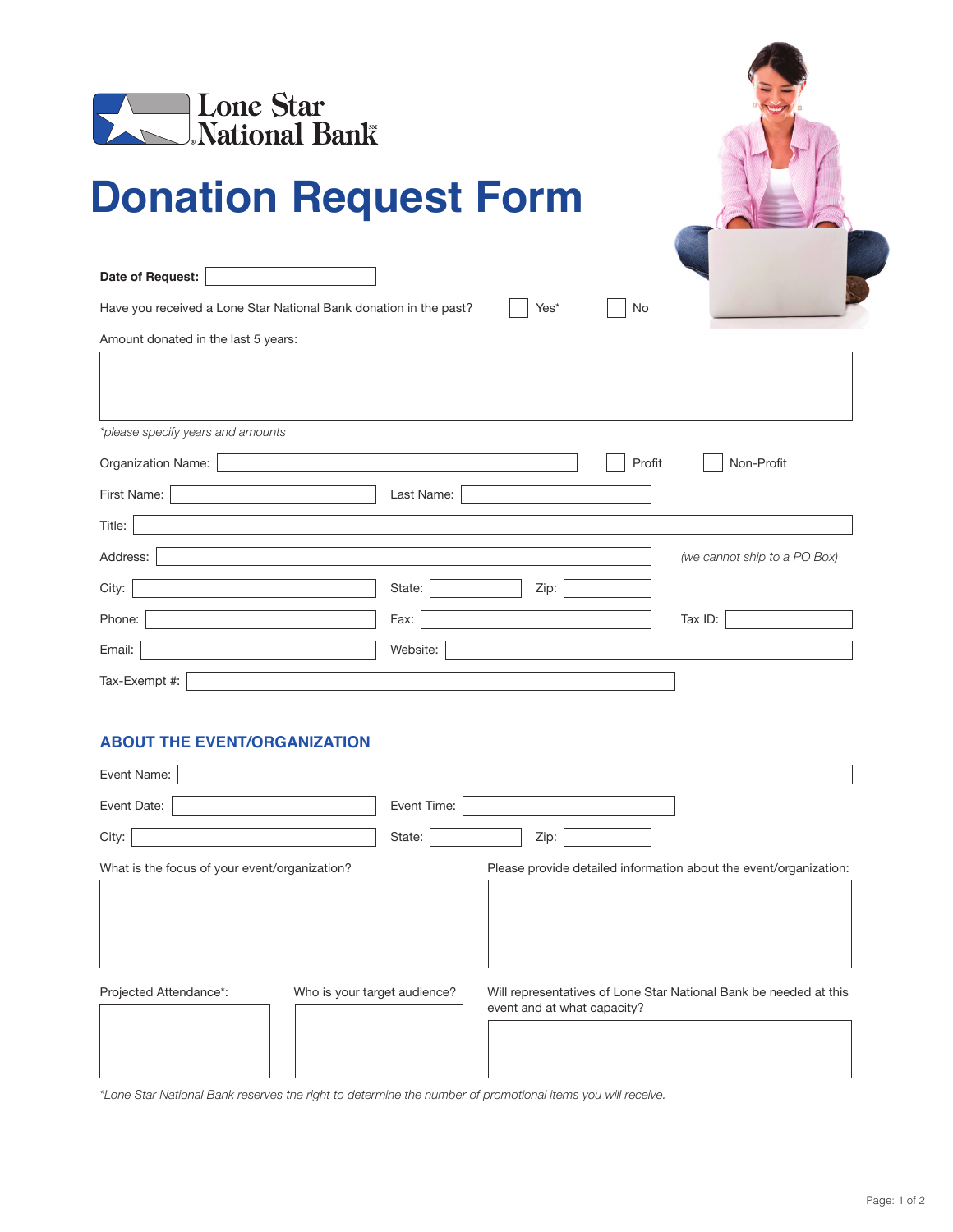

# **Donation Request Form**

**Date of Request:**

Have you received a Lone Star National Bank donation in the past? <br>No

| Amount donated in the last 5 years: |                |                              |
|-------------------------------------|----------------|------------------------------|
|                                     |                |                              |
| *please specify years and amounts   |                |                              |
| Organization Name:                  | Profit         | Non-Profit                   |
| First Name:                         | Last Name:     |                              |
| Title:                              |                |                              |
| Address:                            |                | (we cannot ship to a PO Box) |
| City:                               | State:<br>Zip: |                              |
| Phone:                              | Fax:           | Tax ID:                      |
| Email:                              | Website:       |                              |
| Tax-Exempt #:                       |                |                              |

### **ABOUT THE EVENT/ORGANIZATION**

| Event Name:                                   |                              |                                                                                                  |
|-----------------------------------------------|------------------------------|--------------------------------------------------------------------------------------------------|
| Event Date:                                   | Event Time:                  |                                                                                                  |
| City:                                         | State:                       | Zip:                                                                                             |
| What is the focus of your event/organization? |                              | Please provide detailed information about the event/organization:                                |
|                                               |                              |                                                                                                  |
| Projected Attendance*:                        | Who is your target audience? | Will representatives of Lone Star National Bank be needed at this<br>event and at what capacity? |

*\*Lone Star National Bank reserves the right to determine the number of promotional items you will receive.*